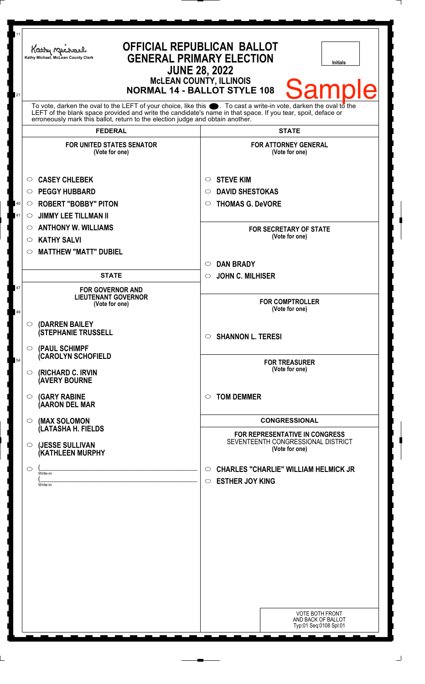| 11<br>21                                                                                                                                                                                                                                                                                                                  | Kathy Michael<br>Kathy Michael, McLean County Clerk | <b>OFFICIAL REPUBLICAN BALLOT</b><br><b>GENERAL PRIMARY ELECTION</b><br><b>Initials</b><br><b>JUNE 28, 2022</b><br><b>MCLEAN COUNTY, ILLINOIS</b><br><b>Sample</b><br><b>NORMAL 14 - BALLOT STYLE 108</b> |
|---------------------------------------------------------------------------------------------------------------------------------------------------------------------------------------------------------------------------------------------------------------------------------------------------------------------------|-----------------------------------------------------|-----------------------------------------------------------------------------------------------------------------------------------------------------------------------------------------------------------|
| To vote, darken the oval to the LEFT of your choice, like this $\bullet$ . To cast a write-in vote, darken the oval to the<br>LEFT of the blank space provided and write the candidate's name in that space. If you tear, spoil, deface or erroneously mark this ballot, return to the election judge and obtain another. |                                                     |                                                                                                                                                                                                           |
|                                                                                                                                                                                                                                                                                                                           | <b>FEDERAL</b>                                      | <b>STATE</b>                                                                                                                                                                                              |
|                                                                                                                                                                                                                                                                                                                           | <b>FOR UNITED STATES SENATOR</b><br>(Vote for one)  | <b>FOR ATTORNEY GENERAL</b><br>(Vote for one)                                                                                                                                                             |
|                                                                                                                                                                                                                                                                                                                           | <b>CASEY CHLEBEK</b><br>O                           | <b>STEVE KIM</b><br>O                                                                                                                                                                                     |
|                                                                                                                                                                                                                                                                                                                           | <b>PEGGY HUBBARD</b><br>$\circ$                     | <b>DAVID SHESTOKAS</b><br>◯                                                                                                                                                                               |
| 40                                                                                                                                                                                                                                                                                                                        | <b>ROBERT "BOBBY" PITON</b><br>$\circ$              | <b>THOMAS G. DeVORE</b><br>$\circ$                                                                                                                                                                        |
| 41                                                                                                                                                                                                                                                                                                                        | <b>JIMMY LEE TILLMAN II</b><br>$\circ$              |                                                                                                                                                                                                           |
|                                                                                                                                                                                                                                                                                                                           | <b>ANTHONY W. WILLIAMS</b><br>O                     | <b>FOR SECRETARY OF STATE</b>                                                                                                                                                                             |
|                                                                                                                                                                                                                                                                                                                           | <b>KATHY SALVI</b><br>O                             | (Vote for one)                                                                                                                                                                                            |
|                                                                                                                                                                                                                                                                                                                           | <b>MATTHEW "MATT" DUBIEL</b><br>◯                   |                                                                                                                                                                                                           |
|                                                                                                                                                                                                                                                                                                                           |                                                     | <b>DAN BRADY</b><br>$\circ$                                                                                                                                                                               |
|                                                                                                                                                                                                                                                                                                                           | <b>STATE</b>                                        | <b>JOHN C. MILHISER</b><br>$\circ$                                                                                                                                                                        |
| 47                                                                                                                                                                                                                                                                                                                        | <b>FOR GOVERNOR AND</b>                             |                                                                                                                                                                                                           |
|                                                                                                                                                                                                                                                                                                                           | <b>LIEUTENANT GOVERNOR</b><br>(Vote for one)        | <b>FOR COMPTROLLER</b><br>(Vote for one)                                                                                                                                                                  |
|                                                                                                                                                                                                                                                                                                                           | (DARREN BAILEY<br>$\circ$                           |                                                                                                                                                                                                           |
|                                                                                                                                                                                                                                                                                                                           | <b>(STEPHANIE TRUSSELL</b>                          | <b>SHANNON L. TERESI</b><br>$\circ$                                                                                                                                                                       |
| 54                                                                                                                                                                                                                                                                                                                        | (PAUL SCHIMPF<br>$\circ$<br>(CAROLYN SCHOFIELD      | <b>FOR TREASURER</b>                                                                                                                                                                                      |
|                                                                                                                                                                                                                                                                                                                           | (RICHARD C. IRVIN<br>O<br><b>(AVERY BOURNE</b>      | (Vote for one)                                                                                                                                                                                            |
|                                                                                                                                                                                                                                                                                                                           | <b>(GARY RABINE</b><br>O<br>(AARON DEL MAR          | <b>TOM DEMMER</b><br>$\circ$                                                                                                                                                                              |
|                                                                                                                                                                                                                                                                                                                           | (MAX SOLOMON<br>O<br>(LATASHA H. FIELDS             | <b>CONGRESSIONAL</b>                                                                                                                                                                                      |
|                                                                                                                                                                                                                                                                                                                           | (JESSE SULLIVAN<br>O<br>(KATHLEEN MURPHY            | <b>FOR REPRESENTATIVE IN CONGRESS</b><br>SEVENTEENTH CONGRESSIONAL DISTRICT<br>(Vote for one)                                                                                                             |
|                                                                                                                                                                                                                                                                                                                           |                                                     |                                                                                                                                                                                                           |
|                                                                                                                                                                                                                                                                                                                           | O<br>Write-in                                       | <b>CHARLES "CHARLIE" WILLIAM HELMICK JR</b><br>$\circ$                                                                                                                                                    |
|                                                                                                                                                                                                                                                                                                                           | Write-in                                            | <b>ESTHER JOY KING</b><br>$\circ$                                                                                                                                                                         |
|                                                                                                                                                                                                                                                                                                                           |                                                     |                                                                                                                                                                                                           |
|                                                                                                                                                                                                                                                                                                                           |                                                     |                                                                                                                                                                                                           |
|                                                                                                                                                                                                                                                                                                                           |                                                     |                                                                                                                                                                                                           |
|                                                                                                                                                                                                                                                                                                                           |                                                     |                                                                                                                                                                                                           |
|                                                                                                                                                                                                                                                                                                                           |                                                     |                                                                                                                                                                                                           |
|                                                                                                                                                                                                                                                                                                                           |                                                     |                                                                                                                                                                                                           |
|                                                                                                                                                                                                                                                                                                                           |                                                     |                                                                                                                                                                                                           |
|                                                                                                                                                                                                                                                                                                                           |                                                     |                                                                                                                                                                                                           |
|                                                                                                                                                                                                                                                                                                                           |                                                     |                                                                                                                                                                                                           |
|                                                                                                                                                                                                                                                                                                                           |                                                     | <b>VOTE BOTH FRONT</b>                                                                                                                                                                                    |
|                                                                                                                                                                                                                                                                                                                           |                                                     | AND BACK OF BALLOT<br>Typ:01 Seq:0108 Spl:01                                                                                                                                                              |
|                                                                                                                                                                                                                                                                                                                           |                                                     |                                                                                                                                                                                                           |